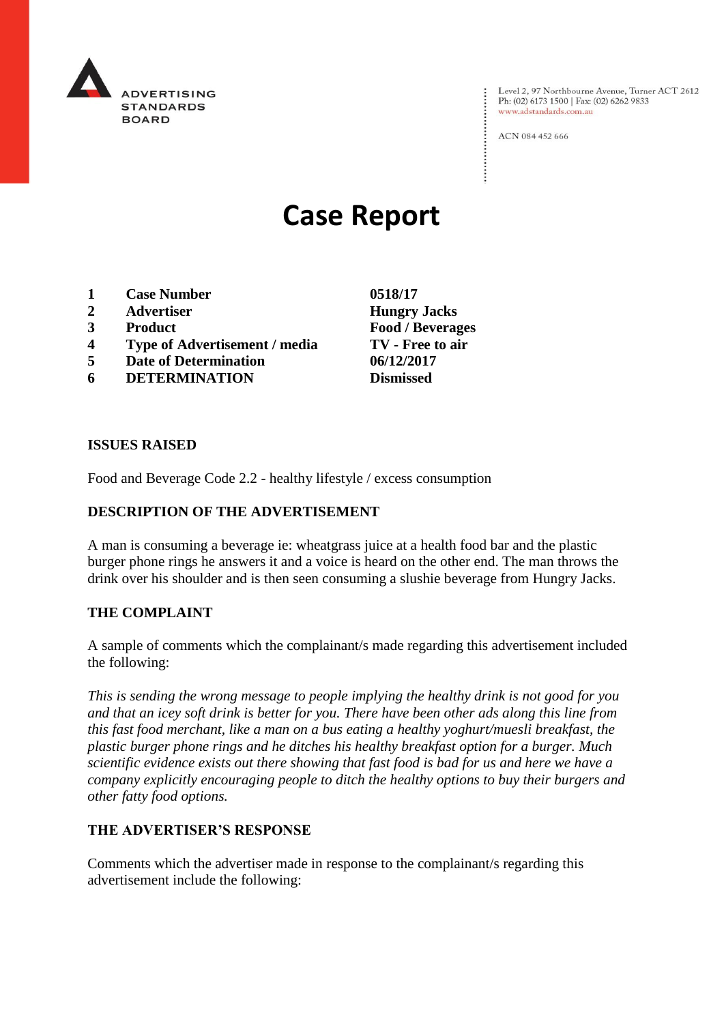

Level 2, 97 Northbourne Avenue, Turner ACT 2612<br>Ph: (02) 6173 1500 | Fax: (02) 6262 9833 www.adstandards.com.au

ACN 084 452 666

# **Case Report**

- **1 Case Number 0518/17**
- **2 Advertiser Hungry Jacks**
- 
- **4 Type of Advertisement / media TV - Free to air**
- **5 Date of Determination 06/12/2017**
- **6 DETERMINATION Dismissed**

**3 Product Food / Beverages**

### **ISSUES RAISED**

Food and Beverage Code 2.2 - healthy lifestyle / excess consumption

# **DESCRIPTION OF THE ADVERTISEMENT**

A man is consuming a beverage ie: wheatgrass juice at a health food bar and the plastic burger phone rings he answers it and a voice is heard on the other end. The man throws the drink over his shoulder and is then seen consuming a slushie beverage from Hungry Jacks.

#### **THE COMPLAINT**

A sample of comments which the complainant/s made regarding this advertisement included the following:

*This is sending the wrong message to people implying the healthy drink is not good for you and that an icey soft drink is better for you. There have been other ads along this line from this fast food merchant, like a man on a bus eating a healthy yoghurt/muesli breakfast, the plastic burger phone rings and he ditches his healthy breakfast option for a burger. Much scientific evidence exists out there showing that fast food is bad for us and here we have a company explicitly encouraging people to ditch the healthy options to buy their burgers and other fatty food options.* 

# **THE ADVERTISER'S RESPONSE**

Comments which the advertiser made in response to the complainant/s regarding this advertisement include the following: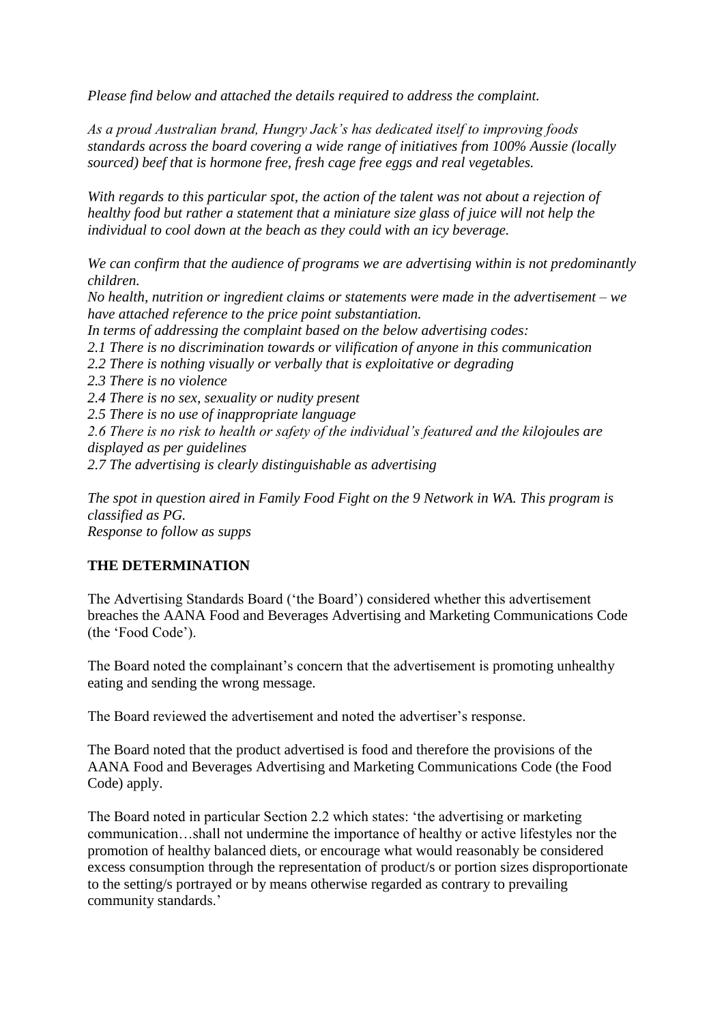*Please find below and attached the details required to address the complaint.*

*As a proud Australian brand, Hungry Jack's has dedicated itself to improving foods standards across the board covering a wide range of initiatives from 100% Aussie (locally sourced) beef that is hormone free, fresh cage free eggs and real vegetables.*

*With regards to this particular spot, the action of the talent was not about a rejection of healthy food but rather a statement that a miniature size glass of juice will not help the individual to cool down at the beach as they could with an icy beverage.*

*We can confirm that the audience of programs we are advertising within is not predominantly children. No health, nutrition or ingredient claims or statements were made in the advertisement – we have attached reference to the price point substantiation. In terms of addressing the complaint based on the below advertising codes: 2.1 There is no discrimination towards or vilification of anyone in this communication 2.2 There is nothing visually or verbally that is exploitative or degrading 2.3 There is no violence 2.4 There is no sex, sexuality or nudity present 2.5 There is no use of inappropriate language 2.6 There is no risk to health or safety of the individual's featured and the kilojoules are displayed as per guidelines 2.7 The advertising is clearly distinguishable as advertising*

*The spot in question aired in Family Food Fight on the 9 Network in WA. This program is classified as PG. Response to follow as supps*

# **THE DETERMINATION**

The Advertising Standards Board ('the Board') considered whether this advertisement breaches the AANA Food and Beverages Advertising and Marketing Communications Code (the 'Food Code').

The Board noted the complainant's concern that the advertisement is promoting unhealthy eating and sending the wrong message.

The Board reviewed the advertisement and noted the advertiser's response.

The Board noted that the product advertised is food and therefore the provisions of the AANA Food and Beverages Advertising and Marketing Communications Code (the Food Code) apply.

The Board noted in particular Section 2.2 which states: 'the advertising or marketing communication…shall not undermine the importance of healthy or active lifestyles nor the promotion of healthy balanced diets, or encourage what would reasonably be considered excess consumption through the representation of product/s or portion sizes disproportionate to the setting/s portrayed or by means otherwise regarded as contrary to prevailing community standards.'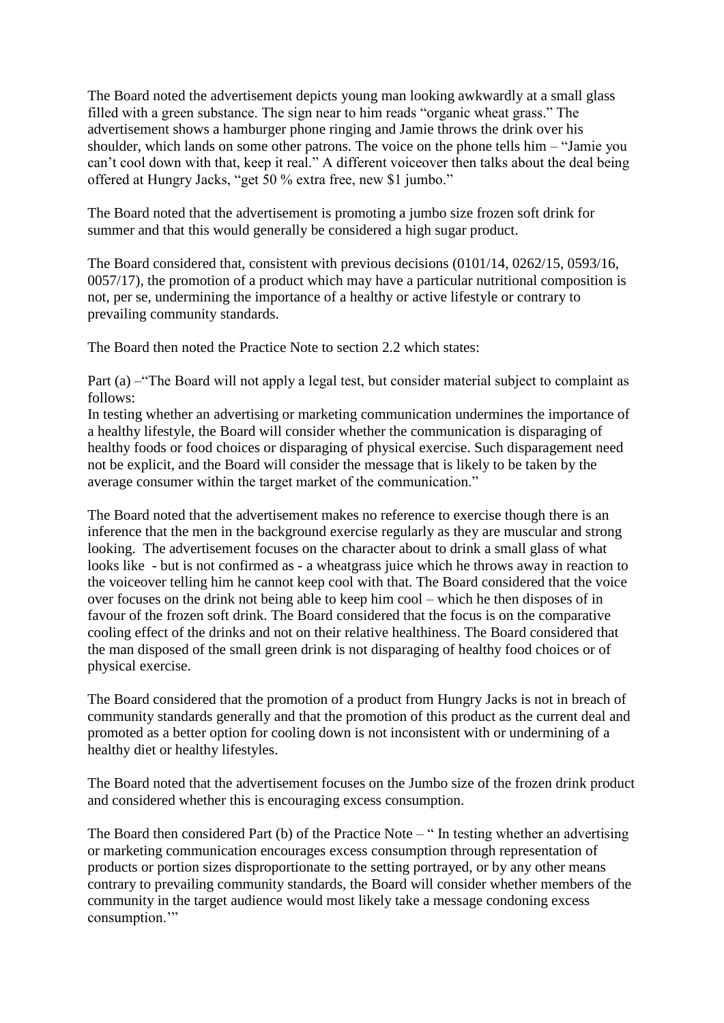The Board noted the advertisement depicts young man looking awkwardly at a small glass filled with a green substance. The sign near to him reads "organic wheat grass." The advertisement shows a hamburger phone ringing and Jamie throws the drink over his shoulder, which lands on some other patrons. The voice on the phone tells him – "Jamie you can't cool down with that, keep it real." A different voiceover then talks about the deal being offered at Hungry Jacks, "get 50 % extra free, new \$1 jumbo."

The Board noted that the advertisement is promoting a jumbo size frozen soft drink for summer and that this would generally be considered a high sugar product.

The Board considered that, consistent with previous decisions (0101/14, 0262/15, 0593/16, 0057/17), the promotion of a product which may have a particular nutritional composition is not, per se, undermining the importance of a healthy or active lifestyle or contrary to prevailing community standards.

The Board then noted the Practice Note to section 2.2 which states:

Part (a) – "The Board will not apply a legal test, but consider material subject to complaint as follows:

In testing whether an advertising or marketing communication undermines the importance of a healthy lifestyle, the Board will consider whether the communication is disparaging of healthy foods or food choices or disparaging of physical exercise. Such disparagement need not be explicit, and the Board will consider the message that is likely to be taken by the average consumer within the target market of the communication."

The Board noted that the advertisement makes no reference to exercise though there is an inference that the men in the background exercise regularly as they are muscular and strong looking. The advertisement focuses on the character about to drink a small glass of what looks like - but is not confirmed as - a wheatgrass juice which he throws away in reaction to the voiceover telling him he cannot keep cool with that. The Board considered that the voice over focuses on the drink not being able to keep him cool – which he then disposes of in favour of the frozen soft drink. The Board considered that the focus is on the comparative cooling effect of the drinks and not on their relative healthiness. The Board considered that the man disposed of the small green drink is not disparaging of healthy food choices or of physical exercise.

The Board considered that the promotion of a product from Hungry Jacks is not in breach of community standards generally and that the promotion of this product as the current deal and promoted as a better option for cooling down is not inconsistent with or undermining of a healthy diet or healthy lifestyles.

The Board noted that the advertisement focuses on the Jumbo size of the frozen drink product and considered whether this is encouraging excess consumption.

The Board then considered Part (b) of the Practice Note – " In testing whether an advertising or marketing communication encourages excess consumption through representation of products or portion sizes disproportionate to the setting portrayed, or by any other means contrary to prevailing community standards, the Board will consider whether members of the community in the target audience would most likely take a message condoning excess consumption."